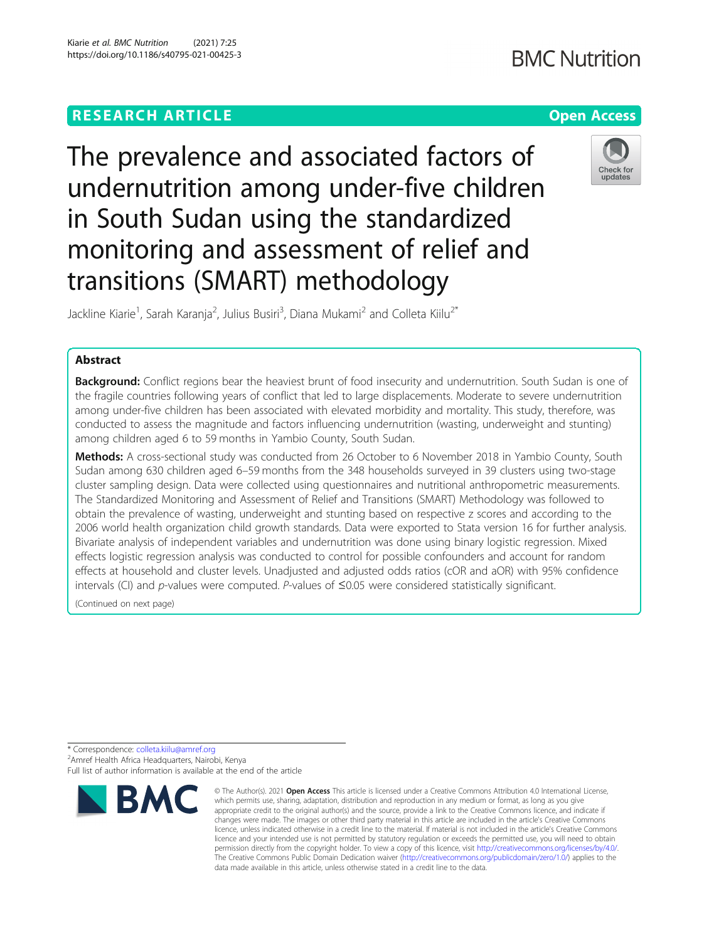## **RESEARCH ARTICLE Example 2014 12:30 The Contract of Contract ACCESS**

# **BMC Nutrition**



The prevalence and associated factors of undernutrition among under-five children in South Sudan using the standardized monitoring and assessment of relief and transitions (SMART) methodology

Jackline Kiarie<sup>1</sup>, Sarah Karanja<sup>2</sup>, Julius Busiri<sup>3</sup>, Diana Mukami<sup>2</sup> and Colleta Kiilu<sup>2\*</sup>

### Abstract

Background: Conflict regions bear the heaviest brunt of food insecurity and undernutrition. South Sudan is one of the fragile countries following years of conflict that led to large displacements. Moderate to severe undernutrition among under-five children has been associated with elevated morbidity and mortality. This study, therefore, was conducted to assess the magnitude and factors influencing undernutrition (wasting, underweight and stunting) among children aged 6 to 59 months in Yambio County, South Sudan.

Methods: A cross-sectional study was conducted from 26 October to 6 November 2018 in Yambio County, South Sudan among 630 children aged 6–59 months from the 348 households surveyed in 39 clusters using two-stage cluster sampling design. Data were collected using questionnaires and nutritional anthropometric measurements. The Standardized Monitoring and Assessment of Relief and Transitions (SMART) Methodology was followed to obtain the prevalence of wasting, underweight and stunting based on respective z scores and according to the 2006 world health organization child growth standards. Data were exported to Stata version 16 for further analysis. Bivariate analysis of independent variables and undernutrition was done using binary logistic regression. Mixed effects logistic regression analysis was conducted to control for possible confounders and account for random effects at household and cluster levels. Unadjusted and adjusted odds ratios (cOR and aOR) with 95% confidence intervals (CI) and p-values were computed. P-values of ≤0.05 were considered statistically significant.

(Continued on next page)

<sup>\*</sup> Correspondence: [colleta.kiilu@amref.org](mailto:colleta.kiilu@amref.org) <sup>2</sup> <sup>2</sup> Amref Health Africa Headquarters, Nairobi, Kenya Full list of author information is available at the end of the article



<sup>©</sup> The Author(s), 2021 **Open Access** This article is licensed under a Creative Commons Attribution 4.0 International License, which permits use, sharing, adaptation, distribution and reproduction in any medium or format, as long as you give appropriate credit to the original author(s) and the source, provide a link to the Creative Commons licence, and indicate if changes were made. The images or other third party material in this article are included in the article's Creative Commons licence, unless indicated otherwise in a credit line to the material. If material is not included in the article's Creative Commons licence and your intended use is not permitted by statutory regulation or exceeds the permitted use, you will need to obtain permission directly from the copyright holder. To view a copy of this licence, visit [http://creativecommons.org/licenses/by/4.0/.](http://creativecommons.org/licenses/by/4.0/) The Creative Commons Public Domain Dedication waiver [\(http://creativecommons.org/publicdomain/zero/1.0/](http://creativecommons.org/publicdomain/zero/1.0/)) applies to the data made available in this article, unless otherwise stated in a credit line to the data.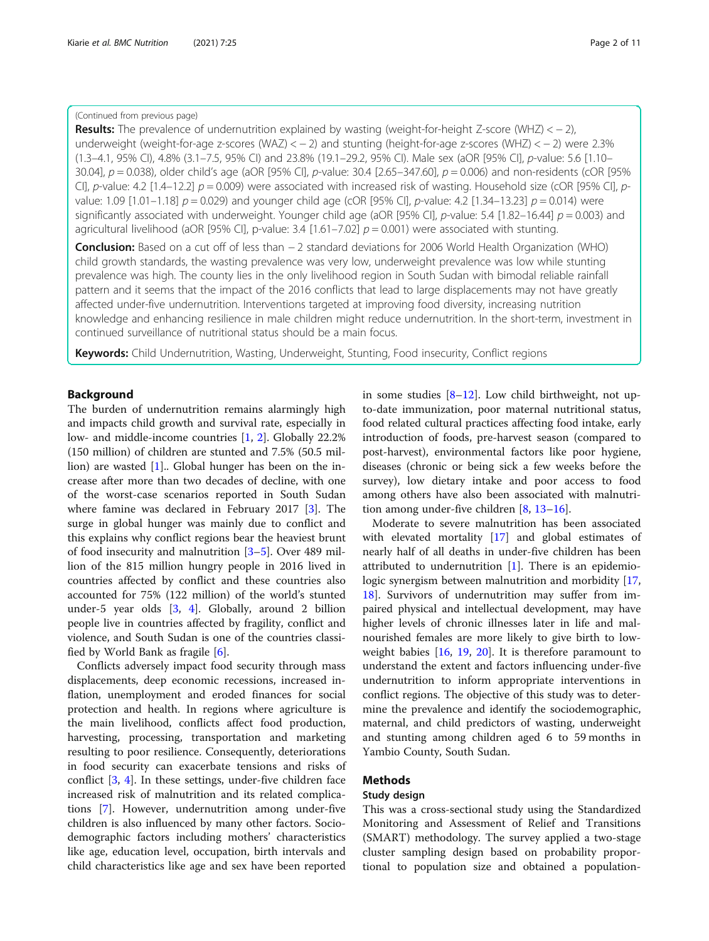#### (Continued from previous page)

Results: The prevalence of undernutrition explained by wasting (weight-for-height Z-score (WHZ) < - 2), underweight (weight-for-age z-scores (WAZ) < − 2) and stunting (height-for-age z-scores (WHZ) < − 2) were 2.3% (1.3–4.1, 95% CI), 4.8% (3.1–7.5, 95% CI) and 23.8% (19.1–29.2, 95% CI). Male sex (aOR [95% CI], p-value: 5.6 [1.10– 30.04],  $p = 0.038$ ), older child's age (aOR [95% CI],  $p$ -value: 30.4 [2.65–347.60],  $p = 0.006$ ) and non-residents (cOR [95% CI], p-value: 4.2 [1.4–12.2]  $p = 0.009$ ) were associated with increased risk of wasting. Household size (cOR [95% CI], pvalue: 1.09 [1.01–1.18]  $p = 0.029$ ) and younger child age (cOR [95% CI], p-value: 4.2 [1.34–13.23]  $p = 0.014$ ) were significantly associated with underweight. Younger child age (aOR [95% CI], p-value: 5.4 [1.82–16.44]  $p = 0.003$ ) and agricultural livelihood (aOR [95% CI], p-value: 3.4 [1.61–7.02]  $p = 0.001$ ) were associated with stunting.

Conclusion: Based on a cut off of less than − 2 standard deviations for 2006 World Health Organization (WHO) child growth standards, the wasting prevalence was very low, underweight prevalence was low while stunting prevalence was high. The county lies in the only livelihood region in South Sudan with bimodal reliable rainfall pattern and it seems that the impact of the 2016 conflicts that lead to large displacements may not have greatly affected under-five undernutrition. Interventions targeted at improving food diversity, increasing nutrition knowledge and enhancing resilience in male children might reduce undernutrition. In the short-term, investment in continued surveillance of nutritional status should be a main focus.

Keywords: Child Undernutrition, Wasting, Underweight, Stunting, Food insecurity, Conflict regions

#### Background

The burden of undernutrition remains alarmingly high and impacts child growth and survival rate, especially in low- and middle-income countries [[1,](#page-9-0) [2\]](#page-9-0). Globally 22.2% (150 million) of children are stunted and 7.5% (50.5 million) are wasted [[1\]](#page-9-0).. Global hunger has been on the increase after more than two decades of decline, with one of the worst-case scenarios reported in South Sudan where famine was declared in February 2017 [\[3](#page-9-0)]. The surge in global hunger was mainly due to conflict and this explains why conflict regions bear the heaviest brunt of food insecurity and malnutrition [\[3](#page-9-0)–[5\]](#page-9-0). Over 489 million of the 815 million hungry people in 2016 lived in countries affected by conflict and these countries also accounted for 75% (122 million) of the world's stunted under-5 year olds [\[3](#page-9-0), [4\]](#page-9-0). Globally, around 2 billion people live in countries affected by fragility, conflict and violence, and South Sudan is one of the countries classified by World Bank as fragile [\[6](#page-9-0)].

Conflicts adversely impact food security through mass displacements, deep economic recessions, increased inflation, unemployment and eroded finances for social protection and health. In regions where agriculture is the main livelihood, conflicts affect food production, harvesting, processing, transportation and marketing resulting to poor resilience. Consequently, deteriorations in food security can exacerbate tensions and risks of conflict [[3,](#page-9-0) [4](#page-9-0)]. In these settings, under-five children face increased risk of malnutrition and its related complications [\[7](#page-9-0)]. However, undernutrition among under-five children is also influenced by many other factors. Sociodemographic factors including mothers' characteristics like age, education level, occupation, birth intervals and child characteristics like age and sex have been reported

in some studies  $[8-12]$  $[8-12]$  $[8-12]$  $[8-12]$  $[8-12]$ . Low child birthweight, not upto-date immunization, poor maternal nutritional status, food related cultural practices affecting food intake, early introduction of foods, pre-harvest season (compared to post-harvest), environmental factors like poor hygiene, diseases (chronic or being sick a few weeks before the survey), low dietary intake and poor access to food among others have also been associated with malnutrition among under-five children [\[8](#page-9-0), [13](#page-9-0)–[16\]](#page-9-0).

Moderate to severe malnutrition has been associated with elevated mortality [[17\]](#page-9-0) and global estimates of nearly half of all deaths in under-five children has been attributed to undernutrition [[1](#page-9-0)]. There is an epidemiologic synergism between malnutrition and morbidity [[17](#page-9-0), [18\]](#page-9-0). Survivors of undernutrition may suffer from impaired physical and intellectual development, may have higher levels of chronic illnesses later in life and malnourished females are more likely to give birth to lowweight babies [\[16](#page-9-0), [19](#page-9-0), [20](#page-9-0)]. It is therefore paramount to understand the extent and factors influencing under-five undernutrition to inform appropriate interventions in conflict regions. The objective of this study was to determine the prevalence and identify the sociodemographic, maternal, and child predictors of wasting, underweight and stunting among children aged 6 to 59 months in Yambio County, South Sudan.

#### Methods

#### Study design

This was a cross-sectional study using the Standardized Monitoring and Assessment of Relief and Transitions (SMART) methodology. The survey applied a two-stage cluster sampling design based on probability proportional to population size and obtained a population-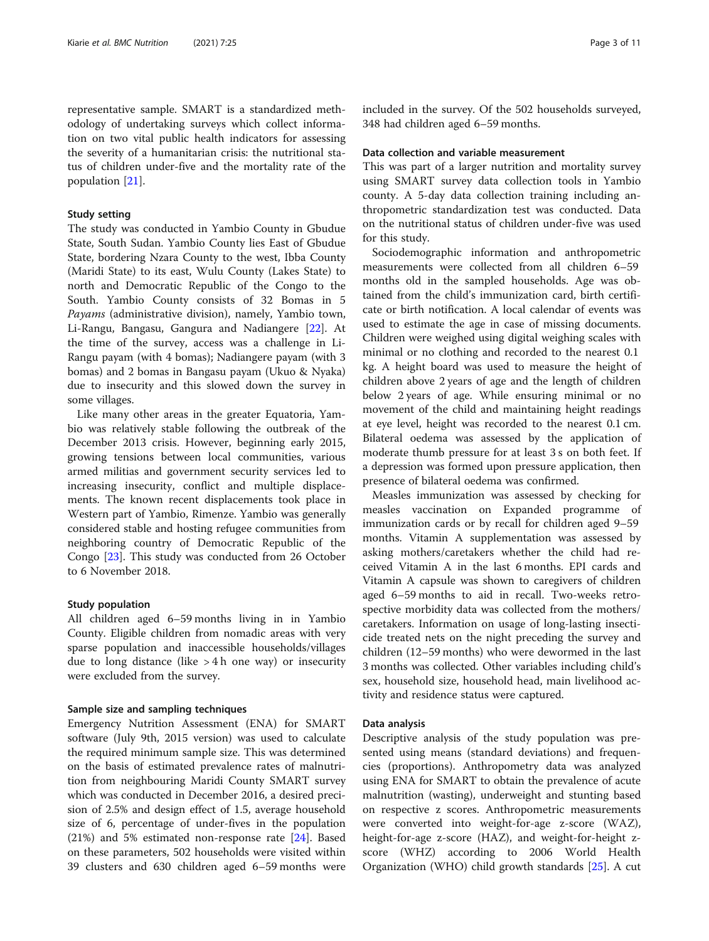representative sample. SMART is a standardized methodology of undertaking surveys which collect information on two vital public health indicators for assessing the severity of a humanitarian crisis: the nutritional status of children under-five and the mortality rate of the population [[21\]](#page-10-0).

#### Study setting

The study was conducted in Yambio County in Gbudue State, South Sudan. Yambio County lies East of Gbudue State, bordering Nzara County to the west, Ibba County (Maridi State) to its east, Wulu County (Lakes State) to north and Democratic Republic of the Congo to the South. Yambio County consists of 32 Bomas in 5 Payams (administrative division), namely, Yambio town, Li-Rangu, Bangasu, Gangura and Nadiangere [[22\]](#page-10-0). At the time of the survey, access was a challenge in Li-Rangu payam (with 4 bomas); Nadiangere payam (with 3 bomas) and 2 bomas in Bangasu payam (Ukuo & Nyaka) due to insecurity and this slowed down the survey in some villages.

Like many other areas in the greater Equatoria, Yambio was relatively stable following the outbreak of the December 2013 crisis. However, beginning early 2015, growing tensions between local communities, various armed militias and government security services led to increasing insecurity, conflict and multiple displacements. The known recent displacements took place in Western part of Yambio, Rimenze. Yambio was generally considered stable and hosting refugee communities from neighboring country of Democratic Republic of the Congo [\[23](#page-10-0)]. This study was conducted from 26 October to 6 November 2018.

#### Study population

All children aged 6–59 months living in in Yambio County. Eligible children from nomadic areas with very sparse population and inaccessible households/villages due to long distance (like  $> 4 h$  one way) or insecurity were excluded from the survey.

#### Sample size and sampling techniques

Emergency Nutrition Assessment (ENA) for SMART software (July 9th, 2015 version) was used to calculate the required minimum sample size. This was determined on the basis of estimated prevalence rates of malnutrition from neighbouring Maridi County SMART survey which was conducted in December 2016, a desired precision of 2.5% and design effect of 1.5, average household size of 6, percentage of under-fives in the population (21%) and 5% estimated non-response rate [\[24](#page-10-0)]. Based on these parameters, 502 households were visited within 39 clusters and 630 children aged 6–59 months were included in the survey. Of the 502 households surveyed, 348 had children aged 6–59 months.

#### Data collection and variable measurement

This was part of a larger nutrition and mortality survey using SMART survey data collection tools in Yambio county. A 5-day data collection training including anthropometric standardization test was conducted. Data on the nutritional status of children under-five was used for this study.

Sociodemographic information and anthropometric measurements were collected from all children 6–59 months old in the sampled households. Age was obtained from the child's immunization card, birth certificate or birth notification. A local calendar of events was used to estimate the age in case of missing documents. Children were weighed using digital weighing scales with minimal or no clothing and recorded to the nearest 0.1 kg. A height board was used to measure the height of children above 2 years of age and the length of children below 2 years of age. While ensuring minimal or no movement of the child and maintaining height readings at eye level, height was recorded to the nearest 0.1 cm. Bilateral oedema was assessed by the application of moderate thumb pressure for at least 3 s on both feet. If a depression was formed upon pressure application, then presence of bilateral oedema was confirmed.

Measles immunization was assessed by checking for measles vaccination on Expanded programme of immunization cards or by recall for children aged 9–59 months. Vitamin A supplementation was assessed by asking mothers/caretakers whether the child had received Vitamin A in the last 6 months. EPI cards and Vitamin A capsule was shown to caregivers of children aged 6–59 months to aid in recall. Two-weeks retrospective morbidity data was collected from the mothers/ caretakers. Information on usage of long-lasting insecticide treated nets on the night preceding the survey and children (12–59 months) who were dewormed in the last 3 months was collected. Other variables including child's sex, household size, household head, main livelihood activity and residence status were captured.

#### Data analysis

Descriptive analysis of the study population was presented using means (standard deviations) and frequencies (proportions). Anthropometry data was analyzed using ENA for SMART to obtain the prevalence of acute malnutrition (wasting), underweight and stunting based on respective z scores. Anthropometric measurements were converted into weight-for-age z-score (WAZ), height-for-age z-score (HAZ), and weight-for-height zscore (WHZ) according to 2006 World Health Organization (WHO) child growth standards [\[25\]](#page-10-0). A cut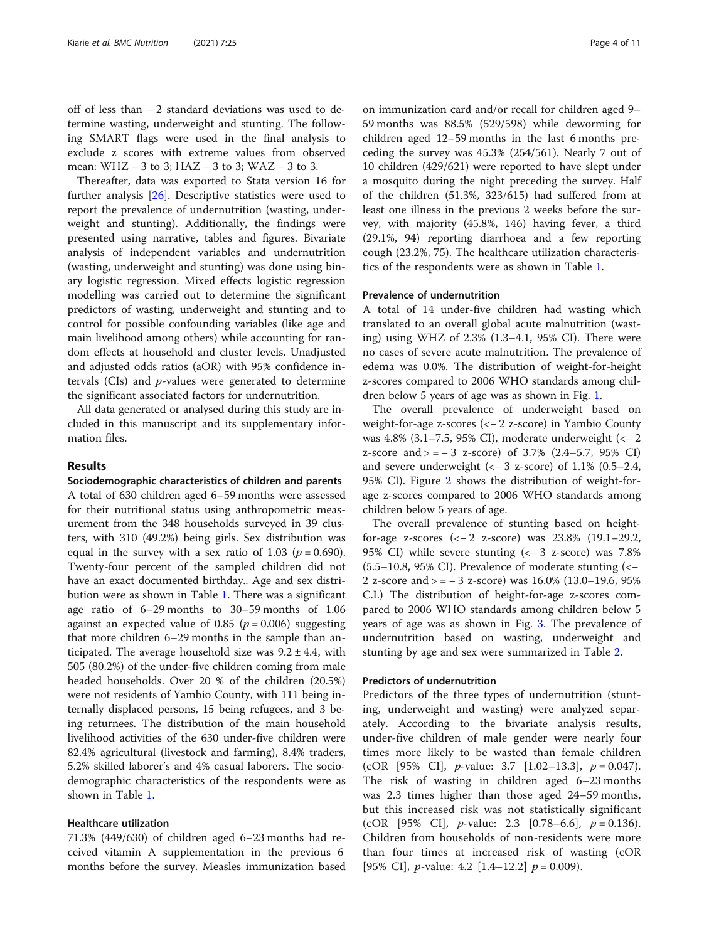off of less than − 2 standard deviations was used to determine wasting, underweight and stunting. The following SMART flags were used in the final analysis to exclude z scores with extreme values from observed mean: WHZ − 3 to 3; HAZ − 3 to 3; WAZ − 3 to 3.

Thereafter, data was exported to Stata version 16 for further analysis [[26\]](#page-10-0). Descriptive statistics were used to report the prevalence of undernutrition (wasting, underweight and stunting). Additionally, the findings were presented using narrative, tables and figures. Bivariate analysis of independent variables and undernutrition (wasting, underweight and stunting) was done using binary logistic regression. Mixed effects logistic regression modelling was carried out to determine the significant predictors of wasting, underweight and stunting and to control for possible confounding variables (like age and main livelihood among others) while accounting for random effects at household and cluster levels. Unadjusted and adjusted odds ratios (aOR) with 95% confidence intervals (CIs) and p-values were generated to determine the significant associated factors for undernutrition.

All data generated or analysed during this study are included in this manuscript and its supplementary information files.

#### Results

Sociodemographic characteristics of children and parents A total of 630 children aged 6–59 months were assessed for their nutritional status using anthropometric measurement from the 348 households surveyed in 39 clusters, with 310 (49.2%) being girls. Sex distribution was equal in the survey with a sex ratio of 1.03 ( $p = 0.690$ ). Twenty-four percent of the sampled children did not have an exact documented birthday.. Age and sex distribution were as shown in Table [1.](#page-4-0) There was a significant age ratio of 6–29 months to 30–59 months of 1.06 against an expected value of 0.85 ( $p = 0.006$ ) suggesting that more children 6–29 months in the sample than anticipated. The average household size was  $9.2 \pm 4.4$ , with 505 (80.2%) of the under-five children coming from male headed households. Over 20 % of the children (20.5%) were not residents of Yambio County, with 111 being internally displaced persons, 15 being refugees, and 3 being returnees. The distribution of the main household livelihood activities of the 630 under-five children were 82.4% agricultural (livestock and farming), 8.4% traders, 5.2% skilled laborer's and 4% casual laborers. The sociodemographic characteristics of the respondents were as shown in Table [1.](#page-4-0)

#### Healthcare utilization

71.3% (449/630) of children aged 6–23 months had received vitamin A supplementation in the previous 6 months before the survey. Measles immunization based on immunization card and/or recall for children aged 9– 59 months was 88.5% (529/598) while deworming for children aged 12–59 months in the last 6 months preceding the survey was 45.3% (254/561). Nearly 7 out of 10 children (429/621) were reported to have slept under a mosquito during the night preceding the survey. Half of the children (51.3%, 323/615) had suffered from at least one illness in the previous 2 weeks before the survey, with majority (45.8%, 146) having fever, a third (29.1%, 94) reporting diarrhoea and a few reporting cough (23.2%, 75). The healthcare utilization characteristics of the respondents were as shown in Table [1](#page-4-0).

#### Prevalence of undernutrition

A total of 14 under-five children had wasting which translated to an overall global acute malnutrition (wasting) using WHZ of 2.3% (1.3–4.1, 95% CI). There were no cases of severe acute malnutrition. The prevalence of edema was 0.0%. The distribution of weight-for-height z-scores compared to 2006 WHO standards among children below 5 years of age was as shown in Fig. [1.](#page-5-0)

The overall prevalence of underweight based on weight-for-age z-scores (<− 2 z-score) in Yambio County was 4.8% (3.1–7.5, 95% CI), moderate underweight (<− 2 z-score and  $> = -3$  z-score) of 3.7% (2.4–5.7, 95% CI) and severe underweight  $\left(\left\langle -3 \right\rangle z\right)$ -score) of 1.1% (0.5–2.4, 95% CI). Figure [2](#page-5-0) shows the distribution of weight-forage z-scores compared to 2006 WHO standards among children below 5 years of age.

The overall prevalence of stunting based on heightfor-age z-scores (<− 2 z-score) was 23.8% (19.1–29.2, 95% CI) while severe stunting (<− 3 z-score) was 7.8% (5.5–10.8, 95% CI). Prevalence of moderate stunting (<− 2 z-score and > = − 3 z-score) was 16.0% (13.0–19.6, 95% C.I.) The distribution of height-for-age z-scores compared to 2006 WHO standards among children below 5 years of age was as shown in Fig. [3.](#page-6-0) The prevalence of undernutrition based on wasting, underweight and stunting by age and sex were summarized in Table [2.](#page-6-0)

#### Predictors of undernutrition

Predictors of the three types of undernutrition (stunting, underweight and wasting) were analyzed separately. According to the bivariate analysis results, under-five children of male gender were nearly four times more likely to be wasted than female children (cOR [95% CI], *p*-value: 3.7 [1.02–13.3],  $p = 0.047$ ). The risk of wasting in children aged 6–23 months was 2.3 times higher than those aged 24–59 months, but this increased risk was not statistically significant (cOR [95% CI], *p*-value: 2.3 [0.78–6.6],  $p = 0.136$ ). Children from households of non-residents were more than four times at increased risk of wasting (cOR [95% CI], *p*-value: 4.2 [1.4–12.2]  $p = 0.009$ ).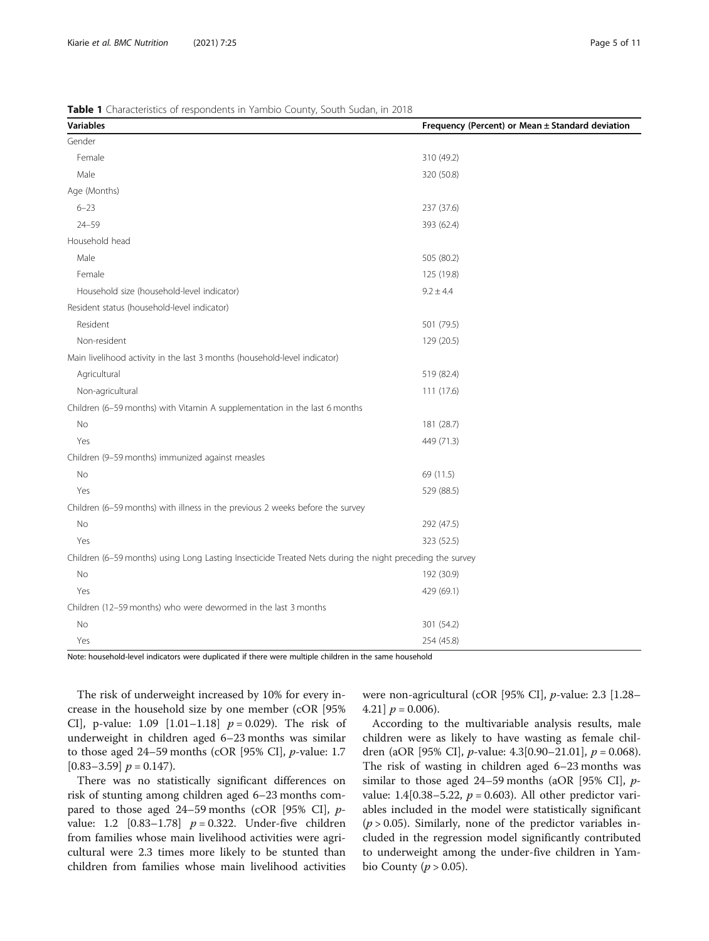<span id="page-4-0"></span>Table 1 Characteristics of respondents in Yambio County, South Sudan, in 2018

| <b>Variables</b>                                                                                         | Frequency (Percent) or Mean ± Standard deviation |
|----------------------------------------------------------------------------------------------------------|--------------------------------------------------|
| Gender                                                                                                   |                                                  |
| Female                                                                                                   | 310 (49.2)                                       |
| Male                                                                                                     | 320 (50.8)                                       |
| Age (Months)                                                                                             |                                                  |
| $6 - 23$                                                                                                 | 237 (37.6)                                       |
| $24 - 59$                                                                                                | 393 (62.4)                                       |
| Household head                                                                                           |                                                  |
| Male                                                                                                     | 505 (80.2)                                       |
| Female                                                                                                   | 125 (19.8)                                       |
| Household size (household-level indicator)                                                               | $9.2 \pm 4.4$                                    |
| Resident status (household-level indicator)                                                              |                                                  |
| Resident                                                                                                 | 501 (79.5)                                       |
| Non-resident                                                                                             | 129 (20.5)                                       |
| Main livelihood activity in the last 3 months (household-level indicator)                                |                                                  |
| Agricultural                                                                                             | 519 (82.4)                                       |
| Non-agricultural                                                                                         | 111 (17.6)                                       |
| Children (6-59 months) with Vitamin A supplementation in the last 6 months                               |                                                  |
| No                                                                                                       | 181 (28.7)                                       |
| Yes                                                                                                      | 449 (71.3)                                       |
| Children (9-59 months) immunized against measles                                                         |                                                  |
| No                                                                                                       | 69 (11.5)                                        |
| Yes                                                                                                      | 529 (88.5)                                       |
| Children (6-59 months) with illness in the previous 2 weeks before the survey                            |                                                  |
| No                                                                                                       | 292 (47.5)                                       |
| Yes                                                                                                      | 323 (52.5)                                       |
| Children (6-59 months) using Long Lasting Insecticide Treated Nets during the night preceding the survey |                                                  |
| No                                                                                                       | 192 (30.9)                                       |
| Yes                                                                                                      | 429 (69.1)                                       |
| Children (12-59 months) who were dewormed in the last 3 months                                           |                                                  |
| No                                                                                                       | 301 (54.2)                                       |
| Yes                                                                                                      | 254 (45.8)                                       |

Note: household-level indicators were duplicated if there were multiple children in the same household

The risk of underweight increased by 10% for every increase in the household size by one member (cOR [95% CI], p-value: 1.09  $[1.01-1.18]$   $p = 0.029$ ). The risk of underweight in children aged 6–23 months was similar to those aged 24–59 months (cOR [95% CI],  $p$ -value: 1.7  $[0.83-3.59]$   $p = 0.147$ .

There was no statistically significant differences on risk of stunting among children aged 6–23 months compared to those aged 24–59 months (cOR [95% CI], pvalue: 1.2  $[0.83-1.78]$   $p = 0.322$ . Under-five children from families whose main livelihood activities were agricultural were 2.3 times more likely to be stunted than children from families whose main livelihood activities were non-agricultural (cOR [95% CI], p-value: 2.3 [1.28– 4.21]  $p = 0.006$ .

According to the multivariable analysis results, male children were as likely to have wasting as female children (aOR [95% CI], *p*-value: 4.3[0.90–21.01],  $p = 0.068$ ). The risk of wasting in children aged 6–23 months was similar to those aged 24–59 months (aOR [95% CI],  $p$ value: 1.4[0.38–5.22,  $p = 0.603$ ). All other predictor variables included in the model were statistically significant  $(p > 0.05)$ . Similarly, none of the predictor variables included in the regression model significantly contributed to underweight among the under-five children in Yambio County ( $p > 0.05$ ).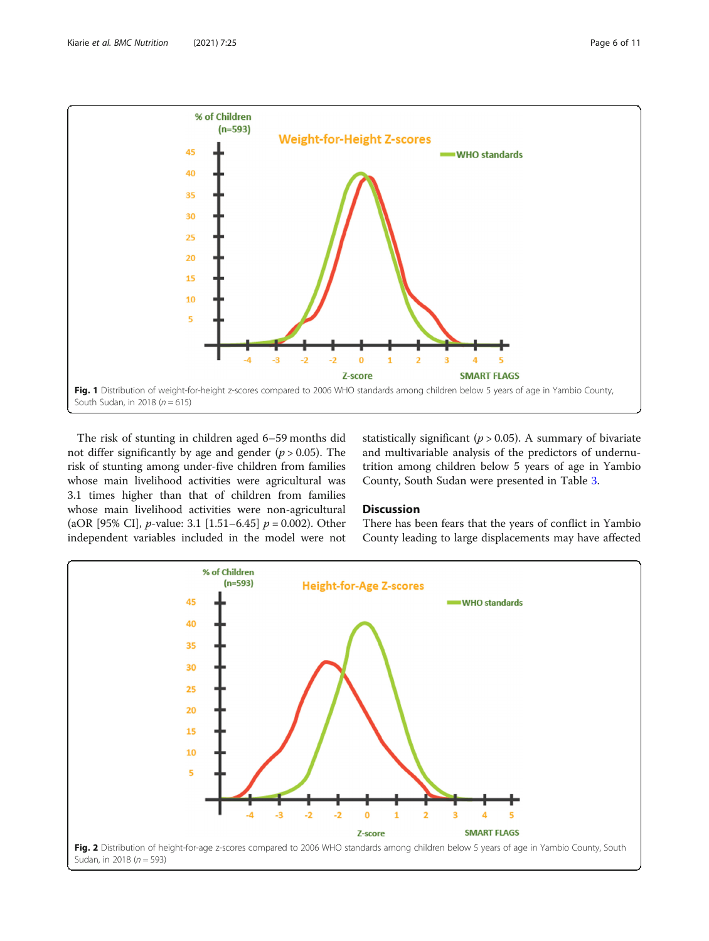<span id="page-5-0"></span>

The risk of stunting in children aged 6–59 months did not differ significantly by age and gender  $(p > 0.05)$ . The risk of stunting among under-five children from families whose main livelihood activities were agricultural was 3.1 times higher than that of children from families whose main livelihood activities were non-agricultural (aOR [95% CI], *p*-value: 3.1 [1.51–6.45]  $p = 0.002$ ). Other independent variables included in the model were not statistically significant ( $p > 0.05$ ). A summary of bivariate and multivariable analysis of the predictors of undernutrition among children below 5 years of age in Yambio County, South Sudan were presented in Table [3.](#page-7-0)

#### Discussion

There has been fears that the years of conflict in Yambio County leading to large displacements may have affected

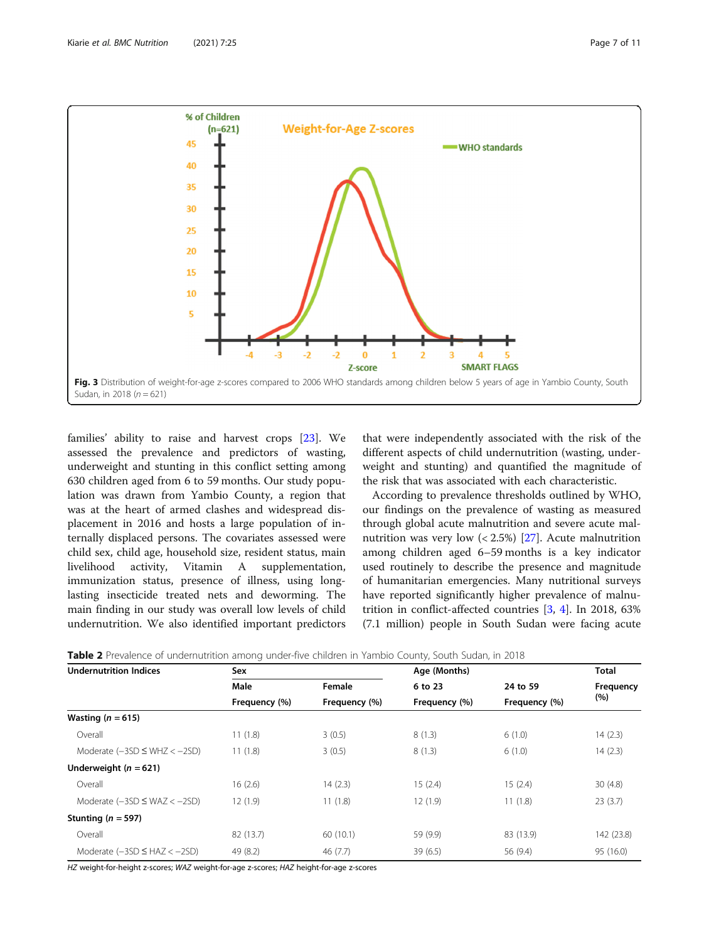<span id="page-6-0"></span>

families' ability to raise and harvest crops [[23\]](#page-10-0). We assessed the prevalence and predictors of wasting, underweight and stunting in this conflict setting among 630 children aged from 6 to 59 months. Our study population was drawn from Yambio County, a region that was at the heart of armed clashes and widespread displacement in 2016 and hosts a large population of internally displaced persons. The covariates assessed were child sex, child age, household size, resident status, main livelihood activity, Vitamin A supplementation, immunization status, presence of illness, using longlasting insecticide treated nets and deworming. The main finding in our study was overall low levels of child undernutrition. We also identified important predictors

that were independently associated with the risk of the different aspects of child undernutrition (wasting, underweight and stunting) and quantified the magnitude of the risk that was associated with each characteristic.

According to prevalence thresholds outlined by WHO, our findings on the prevalence of wasting as measured through global acute malnutrition and severe acute malnutrition was very low  $\left($  < 2.5%) [[27](#page-10-0)]. Acute malnutrition among children aged 6–59 months is a key indicator used routinely to describe the presence and magnitude of humanitarian emergencies. Many nutritional surveys have reported significantly higher prevalence of malnutrition in conflict-affected countries [[3,](#page-9-0) [4](#page-9-0)]. In 2018, 63% (7.1 million) people in South Sudan were facing acute

Table 2 Prevalence of undernutrition among under-five children in Yambio County, South Sudan, in 2018

| <b>Undernutrition Indices</b>     | Sex           |               | Age (Months)  |               | <b>Total</b> |
|-----------------------------------|---------------|---------------|---------------|---------------|--------------|
|                                   | Male          | Female        | 6 to 23       | 24 to 59      | Frequency    |
|                                   | Frequency (%) | Frequency (%) | Frequency (%) | Frequency (%) | (% )         |
| Wasting ( $n = 615$ )             |               |               |               |               |              |
| Overall                           | 11(1.8)       | 3(0.5)        | 8(1.3)        | 6(1.0)        | 14(2.3)      |
| Moderate $(-3SD \le WHZ < -2SD)$  | 11(1.8)       | 3(0.5)        | 8(1.3)        | 6(1.0)        | 14(2.3)      |
| Underweight ( $n = 621$ )         |               |               |               |               |              |
| Overall                           | 16(2.6)       | 14(2.3)       | 15(2.4)       | 15(2.4)       | 30(4.8)      |
| Moderate $(-3SD \le WAZ < -2SD)$  | 12(1.9)       | 11(1.8)       | 12(1.9)       | 11(1.8)       | 23(3.7)      |
| Stunting ( $n = 597$ )            |               |               |               |               |              |
| Overall                           | 82 (13.7)     | 60 (10.1)     | 59 (9.9)      | 83 (13.9)     | 142 (23.8)   |
| Moderate $(-3SD \leq HAZ < -2SD)$ | 49 (8.2)      | 46(7.7)       | 39(6.5)       | 56 (9.4)      | 95 (16.0)    |

HZ weight-for-height z-scores; WAZ weight-for-age z-scores; HAZ height-for-age z-scores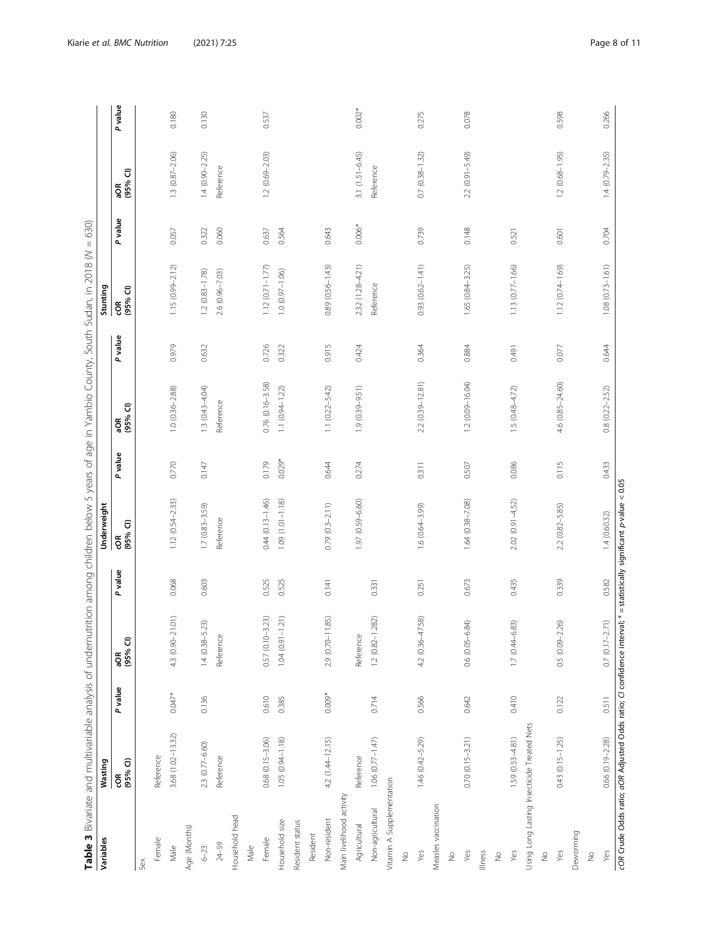| כ<br>ק<br>Ó                                                                                |  |
|--------------------------------------------------------------------------------------------|--|
| $\mathbf{I}$                                                                               |  |
| ś                                                                                          |  |
|                                                                                            |  |
| ç<br>Į                                                                                     |  |
|                                                                                            |  |
| Š<br>d<br>l<br>Í                                                                           |  |
| ׇׅ֬֝֬                                                                                      |  |
|                                                                                            |  |
| 5                                                                                          |  |
|                                                                                            |  |
| 5                                                                                          |  |
| I<br>I                                                                                     |  |
| ֖֖֖֚֚֚֚֚֚֬֝<br>Ó                                                                           |  |
| j                                                                                          |  |
|                                                                                            |  |
| ă                                                                                          |  |
| ١<br>֖֦֖֪֪ׅ֪֪ׅ֪֪ׅ֪֪֪֪֪֪ׅ֧֪ׅ֪ׅ֧֚֚֚֚֚֚֚֚֚֚֚֚֚֚֚֚֚֚֚֚֚֚֚֚֚֚֚֚֚֡֡֡֡֡֬֡֡֡֬֓֡֡֬֓֡֡֬֓֡֬֓֞֡֡֡֬֓֞֬֞ |  |
| י<br>ג<br>¢                                                                                |  |
| ļ<br>3)<br>۱<br>d<br>$\overline{\phantom{a}}$<br>l                                         |  |
| ţ                                                                                          |  |
| ì                                                                                          |  |
| Ï<br>j                                                                                     |  |
| î                                                                                          |  |
| j<br>֚֬<br>š<br>₹<br>֖֖֖֖֖֖֖֧ׅׅ֧ׅ֧֧ׅ֧ׅ֖֧֧֚֚֚֚֚֚֚֚֚֚֚֚֚֚֚֚֚֚֚֚֚֚֚֚֡֬֝֝֬֝֓֞֝֬֜֝֓֞֝֬          |  |
| .<br>ا                                                                                     |  |
| Ì<br>$\overline{ }$<br>J                                                                   |  |
| $\overline{\phantom{a}}$                                                                   |  |
| Ó                                                                                          |  |
| Š                                                                                          |  |
|                                                                                            |  |
| j                                                                                          |  |
| j                                                                                          |  |
| j                                                                                          |  |
|                                                                                            |  |
|                                                                                            |  |
| $\mathbf$                                                                                  |  |
|                                                                                            |  |
| i<br>C<br>j<br>vari                                                                        |  |
| ⋝<br>ï                                                                                     |  |
| j                                                                                          |  |
| l                                                                                          |  |
| ¢                                                                                          |  |
| j<br>J                                                                                     |  |
| ś                                                                                          |  |
| d                                                                                          |  |
| j<br>ć<br>I                                                                                |  |
| ŏ<br>7<br>ī                                                                                |  |
| ı                                                                                          |  |

<span id="page-7-0"></span>

| P value<br>$0.002*$<br>0.266<br>0.180<br>0.130<br>0.275<br>0.078<br>0.598<br>0.537<br>$3.1(1.51 - 6.45)$<br>$0.7(0.38 - 1.32)$<br>$2.2(0.91 - 5.49)$<br>$1.3(0.87 - 2.06)$<br>$1.4(0.90 - 2.25)$<br>$1.2(0.69 - 2.03)$<br>$1.2(0.68 - 1.95)$<br>$1.4(0.79 - 2.35)$<br>Reference<br>Reference<br>aOR<br>(95% Cl)<br>P value<br>$0.006*$<br>0.739<br>0.060<br>0.643<br>0.148<br>0.322<br>0.704<br>0.057<br>0.637<br>0.564<br>0.521<br>0.601<br>$0.93(0.62 - 1.41)$<br>2.32 (1.28-4.21)<br>$1.08$ $(0.73 - 1.61)$<br>$1.15(0.99 - 2.12)$<br>0.89 (0.56-1.43)<br>1.65 (0.84-3.25)<br>$1.13(0.77 - 1.66)$<br>$1.12(0.71 - 1.77)$<br>$1.12(0.74 - 1.69)$<br>$1.0 (0.97 - 1.06)$<br>$1.2(0.83 - 1.78)$<br>2.6 (0.96-7.03)<br>Reference<br>cOR<br>(95% CI)<br>P value<br>0.979<br>0.632<br>0.726<br>0.322<br>0.915<br>0.884<br>0.364<br>0.424<br>0.077<br>0.644<br>0.491<br>2.2 (0.39-12.81)<br>$1.2(0.09 - 16.04)$<br>4.6 (0.85-24.60)<br>$0.76(0.16 - 3.58)$<br>$1.3(0.43 - 4.04)$<br>$1.9(0.39 - 9.51)$<br>$1.0(0.36 - 2.88)$<br>$1.1(0.94 - 1.22)$<br>$1.1(0.22 - 5.42)$<br>$1.5(0.48 - 4.72)$<br>$0.8(0.22 - 2.52)$<br>Reference<br>aOR<br>(95% Cl)<br>P value<br>$0.029*$<br>0.179<br>0.770<br>0.086<br>0.115<br>0.147<br>0.644<br>0.274<br>0.311<br>0.507<br>0.433<br>cOR Crude Odds ratio; aOR Adjusted Odds ratio; CI confidence interval; *= statistically significant p-value < 0.05<br>$1.12(0.54 - 2.33)$<br>$1.09(1.01 - 1.18)$<br>1.97 (0.59-6.60)<br>$1.64(0.38 - 7.08)$<br>$0.44$ $(0.13 - 1.46)$<br>$2.02 (0.91 - 4.52)$<br>$0.79(0.3 - 2.11)$<br>$1.6(0.64 - 3.99)$<br>$1.7(0.83 - 3.59)$<br>$2.2$ $(0.82 - 5.85)$<br>1.4(0.60.32)<br>Reference<br>-OR<br>(95% ପ)<br>P value<br>0.339<br>0.068<br>0.603<br>0.673<br>0.435<br>0.582<br>0.525<br>0.525<br>0.141<br>0.331<br>0.251<br>4.3 (0.90-21.01)<br>$1.04(0.91 - 1.21)$<br>11.85)<br>282)<br>0.57 (0.10-3.23)<br>4.2 (0.36-47.58)<br>$0.7(0.17 - 2.71)$<br>$1.4(0.38 - 5.23)$<br>$0.6(0.05 - 6.84)$<br>(83)<br>$0.5(0.09 - 2.26)$<br>Reference<br>Reference<br>$1.7(0.44 - 6)$<br>2.9 (0.70-<br>aOR<br>(95% CI)<br>$1.2(0.82 -$<br>P value<br>$0.047*$<br>$0.009*$<br>0.410<br>0.136<br>0.610<br>0.566<br>0.511<br>0.385<br>0.714<br>0.642<br>0.122<br>Using Long Lasting Insecticide Treated Nets<br>3.68 (1.02-13.32)<br>0.66 (0.19-2.28)<br>$1.06(0.77 - 1.47)$<br>$1.46(0.42 - 5.29)$<br>$0.70(0.15 - 3.21)$<br>4.2 (1.44-12.15)<br>$1.59(0.53 - 4.81)$<br>$0.68(0.15 - 3.06)$<br>$1.05(0.94 - 1.18)$<br>$0.43(0.15 - 1.25)$<br>2.3 (0.77-6.60)<br>Reference<br>Reference<br>Reference<br>COR<br>(95% CI)<br>Vitamin A Supplementation<br>Main livelihood activity<br>Measles vaccination<br>Non-agricultural<br>Household head<br>Non-resident<br>Household size<br>Resident status<br>Agricultural<br>Age (Months)<br>Deworming<br>Resident<br>Female<br>Female<br>$24 - 59$<br>Male<br>Male<br>$6 - 23$<br>Yes<br>Yes<br>Yes<br>Illness<br>Yes<br>Yes<br>$\stackrel{\circ}{\geq}$<br>$\stackrel{\circ}{\geq}$<br>$\stackrel{\circ}{\geq}$<br>$\stackrel{\circ}{\geq}$<br>$\frac{1}{2}$<br>Sex | Table 3 Bivariate and multivariable analysis of undernutrition among children below 5 years of age in Yambio County, South Sudan, in 2018 (N = 630)<br>Variables | Wasting |  | Underweight |  | Stunting |  |  |
|--------------------------------------------------------------------------------------------------------------------------------------------------------------------------------------------------------------------------------------------------------------------------------------------------------------------------------------------------------------------------------------------------------------------------------------------------------------------------------------------------------------------------------------------------------------------------------------------------------------------------------------------------------------------------------------------------------------------------------------------------------------------------------------------------------------------------------------------------------------------------------------------------------------------------------------------------------------------------------------------------------------------------------------------------------------------------------------------------------------------------------------------------------------------------------------------------------------------------------------------------------------------------------------------------------------------------------------------------------------------------------------------------------------------------------------------------------------------------------------------------------------------------------------------------------------------------------------------------------------------------------------------------------------------------------------------------------------------------------------------------------------------------------------------------------------------------------------------------------------------------------------------------------------------------------------------------------------------------------------------------------------------------------------------------------------------------------------------------------------------------------------------------------------------------------------------------------------------------------------------------------------------------------------------------------------------------------------------------------------------------------------------------------------------------------------------------------------------------------------------------------------------------------------------------------------------------------------------------------------------------------------------------------------------------------------------------------------------------------------------------------------------------------------------------------------------------------------------------------------------------------------------------------------------------------------------------------------------------------------------------------------------------------------------------------------------|------------------------------------------------------------------------------------------------------------------------------------------------------------------|---------|--|-------------|--|----------|--|--|
|                                                                                                                                                                                                                                                                                                                                                                                                                                                                                                                                                                                                                                                                                                                                                                                                                                                                                                                                                                                                                                                                                                                                                                                                                                                                                                                                                                                                                                                                                                                                                                                                                                                                                                                                                                                                                                                                                                                                                                                                                                                                                                                                                                                                                                                                                                                                                                                                                                                                                                                                                                                                                                                                                                                                                                                                                                                                                                                                                                                                                                                                    |                                                                                                                                                                  |         |  |             |  |          |  |  |
|                                                                                                                                                                                                                                                                                                                                                                                                                                                                                                                                                                                                                                                                                                                                                                                                                                                                                                                                                                                                                                                                                                                                                                                                                                                                                                                                                                                                                                                                                                                                                                                                                                                                                                                                                                                                                                                                                                                                                                                                                                                                                                                                                                                                                                                                                                                                                                                                                                                                                                                                                                                                                                                                                                                                                                                                                                                                                                                                                                                                                                                                    |                                                                                                                                                                  |         |  |             |  |          |  |  |
|                                                                                                                                                                                                                                                                                                                                                                                                                                                                                                                                                                                                                                                                                                                                                                                                                                                                                                                                                                                                                                                                                                                                                                                                                                                                                                                                                                                                                                                                                                                                                                                                                                                                                                                                                                                                                                                                                                                                                                                                                                                                                                                                                                                                                                                                                                                                                                                                                                                                                                                                                                                                                                                                                                                                                                                                                                                                                                                                                                                                                                                                    |                                                                                                                                                                  |         |  |             |  |          |  |  |
|                                                                                                                                                                                                                                                                                                                                                                                                                                                                                                                                                                                                                                                                                                                                                                                                                                                                                                                                                                                                                                                                                                                                                                                                                                                                                                                                                                                                                                                                                                                                                                                                                                                                                                                                                                                                                                                                                                                                                                                                                                                                                                                                                                                                                                                                                                                                                                                                                                                                                                                                                                                                                                                                                                                                                                                                                                                                                                                                                                                                                                                                    |                                                                                                                                                                  |         |  |             |  |          |  |  |
|                                                                                                                                                                                                                                                                                                                                                                                                                                                                                                                                                                                                                                                                                                                                                                                                                                                                                                                                                                                                                                                                                                                                                                                                                                                                                                                                                                                                                                                                                                                                                                                                                                                                                                                                                                                                                                                                                                                                                                                                                                                                                                                                                                                                                                                                                                                                                                                                                                                                                                                                                                                                                                                                                                                                                                                                                                                                                                                                                                                                                                                                    |                                                                                                                                                                  |         |  |             |  |          |  |  |
|                                                                                                                                                                                                                                                                                                                                                                                                                                                                                                                                                                                                                                                                                                                                                                                                                                                                                                                                                                                                                                                                                                                                                                                                                                                                                                                                                                                                                                                                                                                                                                                                                                                                                                                                                                                                                                                                                                                                                                                                                                                                                                                                                                                                                                                                                                                                                                                                                                                                                                                                                                                                                                                                                                                                                                                                                                                                                                                                                                                                                                                                    |                                                                                                                                                                  |         |  |             |  |          |  |  |
|                                                                                                                                                                                                                                                                                                                                                                                                                                                                                                                                                                                                                                                                                                                                                                                                                                                                                                                                                                                                                                                                                                                                                                                                                                                                                                                                                                                                                                                                                                                                                                                                                                                                                                                                                                                                                                                                                                                                                                                                                                                                                                                                                                                                                                                                                                                                                                                                                                                                                                                                                                                                                                                                                                                                                                                                                                                                                                                                                                                                                                                                    |                                                                                                                                                                  |         |  |             |  |          |  |  |
|                                                                                                                                                                                                                                                                                                                                                                                                                                                                                                                                                                                                                                                                                                                                                                                                                                                                                                                                                                                                                                                                                                                                                                                                                                                                                                                                                                                                                                                                                                                                                                                                                                                                                                                                                                                                                                                                                                                                                                                                                                                                                                                                                                                                                                                                                                                                                                                                                                                                                                                                                                                                                                                                                                                                                                                                                                                                                                                                                                                                                                                                    |                                                                                                                                                                  |         |  |             |  |          |  |  |
|                                                                                                                                                                                                                                                                                                                                                                                                                                                                                                                                                                                                                                                                                                                                                                                                                                                                                                                                                                                                                                                                                                                                                                                                                                                                                                                                                                                                                                                                                                                                                                                                                                                                                                                                                                                                                                                                                                                                                                                                                                                                                                                                                                                                                                                                                                                                                                                                                                                                                                                                                                                                                                                                                                                                                                                                                                                                                                                                                                                                                                                                    |                                                                                                                                                                  |         |  |             |  |          |  |  |
|                                                                                                                                                                                                                                                                                                                                                                                                                                                                                                                                                                                                                                                                                                                                                                                                                                                                                                                                                                                                                                                                                                                                                                                                                                                                                                                                                                                                                                                                                                                                                                                                                                                                                                                                                                                                                                                                                                                                                                                                                                                                                                                                                                                                                                                                                                                                                                                                                                                                                                                                                                                                                                                                                                                                                                                                                                                                                                                                                                                                                                                                    |                                                                                                                                                                  |         |  |             |  |          |  |  |
|                                                                                                                                                                                                                                                                                                                                                                                                                                                                                                                                                                                                                                                                                                                                                                                                                                                                                                                                                                                                                                                                                                                                                                                                                                                                                                                                                                                                                                                                                                                                                                                                                                                                                                                                                                                                                                                                                                                                                                                                                                                                                                                                                                                                                                                                                                                                                                                                                                                                                                                                                                                                                                                                                                                                                                                                                                                                                                                                                                                                                                                                    |                                                                                                                                                                  |         |  |             |  |          |  |  |
|                                                                                                                                                                                                                                                                                                                                                                                                                                                                                                                                                                                                                                                                                                                                                                                                                                                                                                                                                                                                                                                                                                                                                                                                                                                                                                                                                                                                                                                                                                                                                                                                                                                                                                                                                                                                                                                                                                                                                                                                                                                                                                                                                                                                                                                                                                                                                                                                                                                                                                                                                                                                                                                                                                                                                                                                                                                                                                                                                                                                                                                                    |                                                                                                                                                                  |         |  |             |  |          |  |  |
|                                                                                                                                                                                                                                                                                                                                                                                                                                                                                                                                                                                                                                                                                                                                                                                                                                                                                                                                                                                                                                                                                                                                                                                                                                                                                                                                                                                                                                                                                                                                                                                                                                                                                                                                                                                                                                                                                                                                                                                                                                                                                                                                                                                                                                                                                                                                                                                                                                                                                                                                                                                                                                                                                                                                                                                                                                                                                                                                                                                                                                                                    |                                                                                                                                                                  |         |  |             |  |          |  |  |
|                                                                                                                                                                                                                                                                                                                                                                                                                                                                                                                                                                                                                                                                                                                                                                                                                                                                                                                                                                                                                                                                                                                                                                                                                                                                                                                                                                                                                                                                                                                                                                                                                                                                                                                                                                                                                                                                                                                                                                                                                                                                                                                                                                                                                                                                                                                                                                                                                                                                                                                                                                                                                                                                                                                                                                                                                                                                                                                                                                                                                                                                    |                                                                                                                                                                  |         |  |             |  |          |  |  |
|                                                                                                                                                                                                                                                                                                                                                                                                                                                                                                                                                                                                                                                                                                                                                                                                                                                                                                                                                                                                                                                                                                                                                                                                                                                                                                                                                                                                                                                                                                                                                                                                                                                                                                                                                                                                                                                                                                                                                                                                                                                                                                                                                                                                                                                                                                                                                                                                                                                                                                                                                                                                                                                                                                                                                                                                                                                                                                                                                                                                                                                                    |                                                                                                                                                                  |         |  |             |  |          |  |  |
|                                                                                                                                                                                                                                                                                                                                                                                                                                                                                                                                                                                                                                                                                                                                                                                                                                                                                                                                                                                                                                                                                                                                                                                                                                                                                                                                                                                                                                                                                                                                                                                                                                                                                                                                                                                                                                                                                                                                                                                                                                                                                                                                                                                                                                                                                                                                                                                                                                                                                                                                                                                                                                                                                                                                                                                                                                                                                                                                                                                                                                                                    |                                                                                                                                                                  |         |  |             |  |          |  |  |
|                                                                                                                                                                                                                                                                                                                                                                                                                                                                                                                                                                                                                                                                                                                                                                                                                                                                                                                                                                                                                                                                                                                                                                                                                                                                                                                                                                                                                                                                                                                                                                                                                                                                                                                                                                                                                                                                                                                                                                                                                                                                                                                                                                                                                                                                                                                                                                                                                                                                                                                                                                                                                                                                                                                                                                                                                                                                                                                                                                                                                                                                    |                                                                                                                                                                  |         |  |             |  |          |  |  |
|                                                                                                                                                                                                                                                                                                                                                                                                                                                                                                                                                                                                                                                                                                                                                                                                                                                                                                                                                                                                                                                                                                                                                                                                                                                                                                                                                                                                                                                                                                                                                                                                                                                                                                                                                                                                                                                                                                                                                                                                                                                                                                                                                                                                                                                                                                                                                                                                                                                                                                                                                                                                                                                                                                                                                                                                                                                                                                                                                                                                                                                                    |                                                                                                                                                                  |         |  |             |  |          |  |  |
|                                                                                                                                                                                                                                                                                                                                                                                                                                                                                                                                                                                                                                                                                                                                                                                                                                                                                                                                                                                                                                                                                                                                                                                                                                                                                                                                                                                                                                                                                                                                                                                                                                                                                                                                                                                                                                                                                                                                                                                                                                                                                                                                                                                                                                                                                                                                                                                                                                                                                                                                                                                                                                                                                                                                                                                                                                                                                                                                                                                                                                                                    |                                                                                                                                                                  |         |  |             |  |          |  |  |
|                                                                                                                                                                                                                                                                                                                                                                                                                                                                                                                                                                                                                                                                                                                                                                                                                                                                                                                                                                                                                                                                                                                                                                                                                                                                                                                                                                                                                                                                                                                                                                                                                                                                                                                                                                                                                                                                                                                                                                                                                                                                                                                                                                                                                                                                                                                                                                                                                                                                                                                                                                                                                                                                                                                                                                                                                                                                                                                                                                                                                                                                    |                                                                                                                                                                  |         |  |             |  |          |  |  |
|                                                                                                                                                                                                                                                                                                                                                                                                                                                                                                                                                                                                                                                                                                                                                                                                                                                                                                                                                                                                                                                                                                                                                                                                                                                                                                                                                                                                                                                                                                                                                                                                                                                                                                                                                                                                                                                                                                                                                                                                                                                                                                                                                                                                                                                                                                                                                                                                                                                                                                                                                                                                                                                                                                                                                                                                                                                                                                                                                                                                                                                                    |                                                                                                                                                                  |         |  |             |  |          |  |  |
|                                                                                                                                                                                                                                                                                                                                                                                                                                                                                                                                                                                                                                                                                                                                                                                                                                                                                                                                                                                                                                                                                                                                                                                                                                                                                                                                                                                                                                                                                                                                                                                                                                                                                                                                                                                                                                                                                                                                                                                                                                                                                                                                                                                                                                                                                                                                                                                                                                                                                                                                                                                                                                                                                                                                                                                                                                                                                                                                                                                                                                                                    |                                                                                                                                                                  |         |  |             |  |          |  |  |
|                                                                                                                                                                                                                                                                                                                                                                                                                                                                                                                                                                                                                                                                                                                                                                                                                                                                                                                                                                                                                                                                                                                                                                                                                                                                                                                                                                                                                                                                                                                                                                                                                                                                                                                                                                                                                                                                                                                                                                                                                                                                                                                                                                                                                                                                                                                                                                                                                                                                                                                                                                                                                                                                                                                                                                                                                                                                                                                                                                                                                                                                    |                                                                                                                                                                  |         |  |             |  |          |  |  |
|                                                                                                                                                                                                                                                                                                                                                                                                                                                                                                                                                                                                                                                                                                                                                                                                                                                                                                                                                                                                                                                                                                                                                                                                                                                                                                                                                                                                                                                                                                                                                                                                                                                                                                                                                                                                                                                                                                                                                                                                                                                                                                                                                                                                                                                                                                                                                                                                                                                                                                                                                                                                                                                                                                                                                                                                                                                                                                                                                                                                                                                                    |                                                                                                                                                                  |         |  |             |  |          |  |  |
|                                                                                                                                                                                                                                                                                                                                                                                                                                                                                                                                                                                                                                                                                                                                                                                                                                                                                                                                                                                                                                                                                                                                                                                                                                                                                                                                                                                                                                                                                                                                                                                                                                                                                                                                                                                                                                                                                                                                                                                                                                                                                                                                                                                                                                                                                                                                                                                                                                                                                                                                                                                                                                                                                                                                                                                                                                                                                                                                                                                                                                                                    |                                                                                                                                                                  |         |  |             |  |          |  |  |
|                                                                                                                                                                                                                                                                                                                                                                                                                                                                                                                                                                                                                                                                                                                                                                                                                                                                                                                                                                                                                                                                                                                                                                                                                                                                                                                                                                                                                                                                                                                                                                                                                                                                                                                                                                                                                                                                                                                                                                                                                                                                                                                                                                                                                                                                                                                                                                                                                                                                                                                                                                                                                                                                                                                                                                                                                                                                                                                                                                                                                                                                    |                                                                                                                                                                  |         |  |             |  |          |  |  |
|                                                                                                                                                                                                                                                                                                                                                                                                                                                                                                                                                                                                                                                                                                                                                                                                                                                                                                                                                                                                                                                                                                                                                                                                                                                                                                                                                                                                                                                                                                                                                                                                                                                                                                                                                                                                                                                                                                                                                                                                                                                                                                                                                                                                                                                                                                                                                                                                                                                                                                                                                                                                                                                                                                                                                                                                                                                                                                                                                                                                                                                                    |                                                                                                                                                                  |         |  |             |  |          |  |  |
|                                                                                                                                                                                                                                                                                                                                                                                                                                                                                                                                                                                                                                                                                                                                                                                                                                                                                                                                                                                                                                                                                                                                                                                                                                                                                                                                                                                                                                                                                                                                                                                                                                                                                                                                                                                                                                                                                                                                                                                                                                                                                                                                                                                                                                                                                                                                                                                                                                                                                                                                                                                                                                                                                                                                                                                                                                                                                                                                                                                                                                                                    |                                                                                                                                                                  |         |  |             |  |          |  |  |
|                                                                                                                                                                                                                                                                                                                                                                                                                                                                                                                                                                                                                                                                                                                                                                                                                                                                                                                                                                                                                                                                                                                                                                                                                                                                                                                                                                                                                                                                                                                                                                                                                                                                                                                                                                                                                                                                                                                                                                                                                                                                                                                                                                                                                                                                                                                                                                                                                                                                                                                                                                                                                                                                                                                                                                                                                                                                                                                                                                                                                                                                    |                                                                                                                                                                  |         |  |             |  |          |  |  |
|                                                                                                                                                                                                                                                                                                                                                                                                                                                                                                                                                                                                                                                                                                                                                                                                                                                                                                                                                                                                                                                                                                                                                                                                                                                                                                                                                                                                                                                                                                                                                                                                                                                                                                                                                                                                                                                                                                                                                                                                                                                                                                                                                                                                                                                                                                                                                                                                                                                                                                                                                                                                                                                                                                                                                                                                                                                                                                                                                                                                                                                                    |                                                                                                                                                                  |         |  |             |  |          |  |  |
|                                                                                                                                                                                                                                                                                                                                                                                                                                                                                                                                                                                                                                                                                                                                                                                                                                                                                                                                                                                                                                                                                                                                                                                                                                                                                                                                                                                                                                                                                                                                                                                                                                                                                                                                                                                                                                                                                                                                                                                                                                                                                                                                                                                                                                                                                                                                                                                                                                                                                                                                                                                                                                                                                                                                                                                                                                                                                                                                                                                                                                                                    |                                                                                                                                                                  |         |  |             |  |          |  |  |
|                                                                                                                                                                                                                                                                                                                                                                                                                                                                                                                                                                                                                                                                                                                                                                                                                                                                                                                                                                                                                                                                                                                                                                                                                                                                                                                                                                                                                                                                                                                                                                                                                                                                                                                                                                                                                                                                                                                                                                                                                                                                                                                                                                                                                                                                                                                                                                                                                                                                                                                                                                                                                                                                                                                                                                                                                                                                                                                                                                                                                                                                    |                                                                                                                                                                  |         |  |             |  |          |  |  |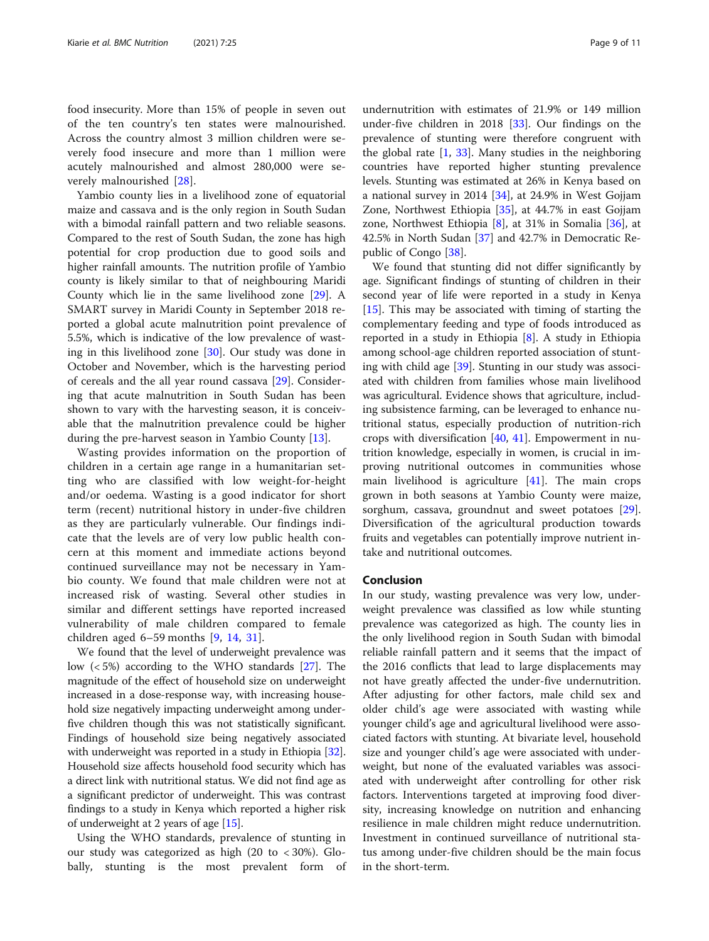food insecurity. More than 15% of people in seven out of the ten country's ten states were malnourished. Across the country almost 3 million children were severely food insecure and more than 1 million were acutely malnourished and almost 280,000 were severely malnourished [\[28](#page-10-0)].

Yambio county lies in a livelihood zone of equatorial maize and cassava and is the only region in South Sudan with a bimodal rainfall pattern and two reliable seasons. Compared to the rest of South Sudan, the zone has high potential for crop production due to good soils and higher rainfall amounts. The nutrition profile of Yambio county is likely similar to that of neighbouring Maridi County which lie in the same livelihood zone [[29](#page-10-0)]. A SMART survey in Maridi County in September 2018 reported a global acute malnutrition point prevalence of 5.5%, which is indicative of the low prevalence of wasting in this livelihood zone [\[30\]](#page-10-0). Our study was done in October and November, which is the harvesting period of cereals and the all year round cassava [[29](#page-10-0)]. Considering that acute malnutrition in South Sudan has been shown to vary with the harvesting season, it is conceivable that the malnutrition prevalence could be higher during the pre-harvest season in Yambio County [[13\]](#page-9-0).

Wasting provides information on the proportion of children in a certain age range in a humanitarian setting who are classified with low weight-for-height and/or oedema. Wasting is a good indicator for short term (recent) nutritional history in under-five children as they are particularly vulnerable. Our findings indicate that the levels are of very low public health concern at this moment and immediate actions beyond continued surveillance may not be necessary in Yambio county. We found that male children were not at increased risk of wasting. Several other studies in similar and different settings have reported increased vulnerability of male children compared to female children aged 6–59 months [[9,](#page-9-0) [14,](#page-9-0) [31\]](#page-10-0).

We found that the level of underweight prevalence was low (< 5%) according to the WHO standards [\[27\]](#page-10-0). The magnitude of the effect of household size on underweight increased in a dose-response way, with increasing household size negatively impacting underweight among underfive children though this was not statistically significant. Findings of household size being negatively associated with underweight was reported in a study in Ethiopia [[32](#page-10-0)]. Household size affects household food security which has a direct link with nutritional status. We did not find age as a significant predictor of underweight. This was contrast findings to a study in Kenya which reported a higher risk of underweight at 2 years of age [[15](#page-9-0)].

Using the WHO standards, prevalence of stunting in our study was categorized as high (20 to < 30%). Globally, stunting is the most prevalent form of

undernutrition with estimates of 21.9% or 149 million under-five children in 2018 [[33\]](#page-10-0). Our findings on the prevalence of stunting were therefore congruent with the global rate  $\left[1, 33\right]$  $\left[1, 33\right]$  $\left[1, 33\right]$ . Many studies in the neighboring countries have reported higher stunting prevalence levels. Stunting was estimated at 26% in Kenya based on a national survey in 2014 [[34\]](#page-10-0), at 24.9% in West Gojjam Zone, Northwest Ethiopia [\[35](#page-10-0)], at 44.7% in east Gojjam zone, Northwest Ethiopia [[8\]](#page-9-0), at 31% in Somalia [\[36](#page-10-0)], at 42.5% in North Sudan [[37\]](#page-10-0) and 42.7% in Democratic Republic of Congo [[38\]](#page-10-0).

We found that stunting did not differ significantly by age. Significant findings of stunting of children in their second year of life were reported in a study in Kenya [[15\]](#page-9-0). This may be associated with timing of starting the complementary feeding and type of foods introduced as reported in a study in Ethiopia [\[8](#page-9-0)]. A study in Ethiopia among school-age children reported association of stunting with child age [\[39\]](#page-10-0). Stunting in our study was associated with children from families whose main livelihood was agricultural. Evidence shows that agriculture, including subsistence farming, can be leveraged to enhance nutritional status, especially production of nutrition-rich crops with diversification  $[40, 41]$  $[40, 41]$  $[40, 41]$ . Empowerment in nutrition knowledge, especially in women, is crucial in improving nutritional outcomes in communities whose main livelihood is agriculture [[41\]](#page-10-0). The main crops grown in both seasons at Yambio County were maize, sorghum, cassava, groundnut and sweet potatoes [\[29](#page-10-0)]. Diversification of the agricultural production towards fruits and vegetables can potentially improve nutrient intake and nutritional outcomes.

#### Conclusion

In our study, wasting prevalence was very low, underweight prevalence was classified as low while stunting prevalence was categorized as high. The county lies in the only livelihood region in South Sudan with bimodal reliable rainfall pattern and it seems that the impact of the 2016 conflicts that lead to large displacements may not have greatly affected the under-five undernutrition. After adjusting for other factors, male child sex and older child's age were associated with wasting while younger child's age and agricultural livelihood were associated factors with stunting. At bivariate level, household size and younger child's age were associated with underweight, but none of the evaluated variables was associated with underweight after controlling for other risk factors. Interventions targeted at improving food diversity, increasing knowledge on nutrition and enhancing resilience in male children might reduce undernutrition. Investment in continued surveillance of nutritional status among under-five children should be the main focus in the short-term.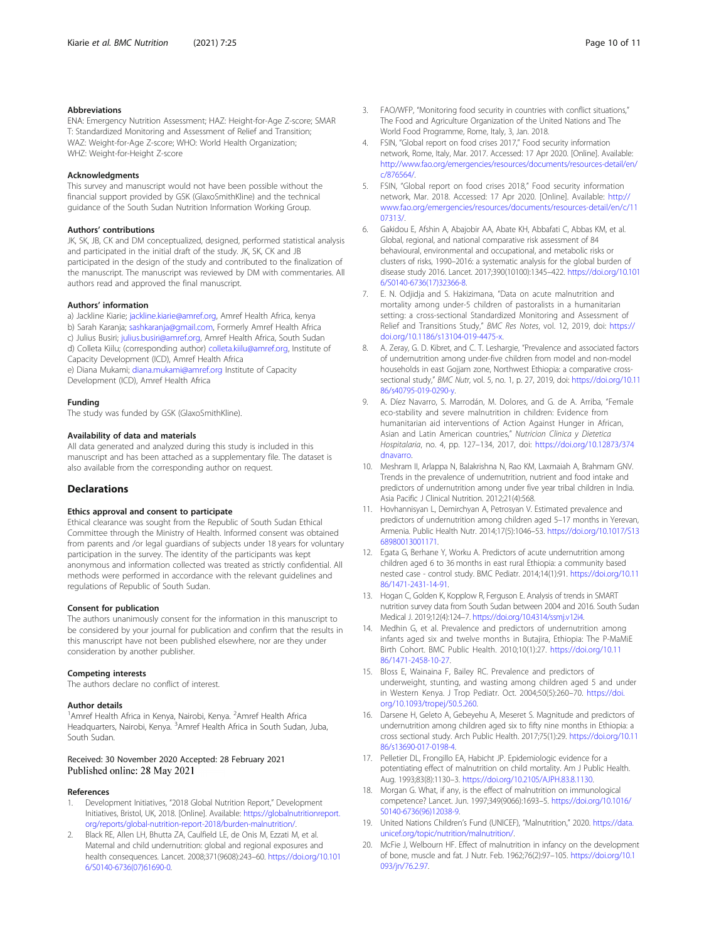#### <span id="page-9-0"></span>Abbreviations

ENA: Emergency Nutrition Assessment; HAZ: Height-for-Age Z-score; SMAR T: Standardized Monitoring and Assessment of Relief and Transition; WAZ: Weight-for-Age Z-score; WHO: World Health Organization; WHZ: Weight-for-Height Z-score

#### Acknowledgments

This survey and manuscript would not have been possible without the financial support provided by GSK (GlaxoSmithKline) and the technical guidance of the South Sudan Nutrition Information Working Group.

#### Authors' contributions

JK, SK, JB, CK and DM conceptualized, designed, performed statistical analysis and participated in the initial draft of the study. JK, SK, CK and JB participated in the design of the study and contributed to the finalization of the manuscript. The manuscript was reviewed by DM with commentaries. All authors read and approved the final manuscript.

#### Authors' information

a) Jackline Kiarie; [jackline.kiarie@amref.org,](mailto:jackline.kiarie@amref.org) Amref Health Africa, kenya b) Sarah Karanja; [sashkaranja@gmail.com,](mailto:sashkaranja@gmail.com) Formerly Amref Health Africa c) Julius Busiri; [julius.busiri@amref.org](mailto:julius.busiri@amref.org), Amref Health Africa, South Sudan d) Colleta Kiilu; (corresponding author) [colleta.kiilu@amref.org](mailto:colleta.kiilu@amref.org), Institute of Capacity Development (ICD), Amref Health Africa e) Diana Mukami; [diana.mukami@amref.org](mailto:diana.mukami@amref.org) Institute of Capacity Development (ICD), Amref Health Africa

#### Funding

The study was funded by GSK (GlaxoSmithKline).

#### Availability of data and materials

All data generated and analyzed during this study is included in this manuscript and has been attached as a supplementary file. The dataset is also available from the corresponding author on request.

#### **Declarations**

#### Ethics approval and consent to participate

Ethical clearance was sought from the Republic of South Sudan Ethical Committee through the Ministry of Health. Informed consent was obtained from parents and /or legal guardians of subjects under 18 years for voluntary participation in the survey. The identity of the participants was kept anonymous and information collected was treated as strictly confidential. All methods were performed in accordance with the relevant guidelines and regulations of Republic of South Sudan.

#### Consent for publication

The authors unanimously consent for the information in this manuscript to be considered by your journal for publication and confirm that the results in this manuscript have not been published elsewhere, nor are they under consideration by another publisher.

#### Competing interests

The authors declare no conflict of interest.

#### Author details

<sup>1</sup> Amref Health Africa in Kenya, Nairobi, Kenya. <sup>2</sup> Amref Health Africa Headquarters, Nairobi, Kenya. <sup>3</sup>Amref Health Africa in South Sudan, Juba, South Sudan.

#### Received: 30 November 2020 Accepted: 28 February 2021 Published online: 28 May 2021

#### References

- 1. Development Initiatives, "2018 Global Nutrition Report," Development Initiatives, Bristol, UK, 2018. [Online]. Available: [https://globalnutritionreport.](https://globalnutritionreport.org/reports/global-nutrition-report-2018/burden-malnutrition/) [org/reports/global-nutrition-report-2018/burden-malnutrition/](https://globalnutritionreport.org/reports/global-nutrition-report-2018/burden-malnutrition/).
- 2. Black RE, Allen LH, Bhutta ZA, Caulfield LE, de Onis M, Ezzati M, et al. Maternal and child undernutrition: global and regional exposures and health consequences. Lancet. 2008;371(9608):243–60. [https://doi.org/10.101](https://doi.org/10.1016/S0140-6736(07)61690-0) [6/S0140-6736\(07\)61690-0](https://doi.org/10.1016/S0140-6736(07)61690-0).
- 3. FAO/WFP, "Monitoring food security in countries with conflict situations," The Food and Agriculture Organization of the United Nations and The World Food Programme, Rome, Italy, 3, Jan. 2018.
- 4. FSIN, "Global report on food crises 2017," Food security information network, Rome, Italy, Mar. 2017. Accessed: 17 Apr 2020. [Online]. Available: [http://www.fao.org/emergencies/resources/documents/resources-detail/en/](http://www.fao.org/emergencies/resources/documents/resources-detail/en/c/876564/) [c/876564/](http://www.fao.org/emergencies/resources/documents/resources-detail/en/c/876564/).
- 5. FSIN, "Global report on food crises 2018," Food security information network, Mar. 2018. Accessed: 17 Apr 2020. [Online]. Available: [http://](http://www.fao.org/emergencies/resources/documents/resources-detail/en/c/1107313/) [www.fao.org/emergencies/resources/documents/resources-detail/en/c/11](http://www.fao.org/emergencies/resources/documents/resources-detail/en/c/1107313/) [07313/.](http://www.fao.org/emergencies/resources/documents/resources-detail/en/c/1107313/)
- 6. Gakidou E, Afshin A, Abajobir AA, Abate KH, Abbafati C, Abbas KM, et al. Global, regional, and national comparative risk assessment of 84 behavioural, environmental and occupational, and metabolic risks or clusters of risks, 1990–2016: a systematic analysis for the global burden of disease study 2016. Lancet. 2017;390(10100):1345–422. [https://doi.org/10.101](https://doi.org/10.1016/S0140-6736(17)32366-8) [6/S0140-6736\(17\)32366-8](https://doi.org/10.1016/S0140-6736(17)32366-8).
- 7. E. N. Odjidja and S. Hakizimana, "Data on acute malnutrition and mortality among under-5 children of pastoralists in a humanitarian setting: a cross-sectional Standardized Monitoring and Assessment of Relief and Transitions Study," BMC Res Notes, vol. 12, 2019, doi: [https://](https://doi.org/10.1186/s13104-019-4475-x) [doi.org/10.1186/s13104-019-4475-x](https://doi.org/10.1186/s13104-019-4475-x).
- A. Zeray, G. D. Kibret, and C. T. Leshargie, "Prevalence and associated factors of undernutrition among under-five children from model and non-model households in east Gojjam zone, Northwest Ethiopia: a comparative crosssectional study," BMC Nutr, vol. 5, no. 1, p. 27, 2019, doi: [https://doi.org/10.11](https://doi.org/10.1186/s40795-019-0290-y) [86/s40795-019-0290-y.](https://doi.org/10.1186/s40795-019-0290-y)
- 9. A. Díez Navarro, S. Marrodán, M. Dolores, and G. de A. Arriba, "Female eco-stability and severe malnutrition in children: Evidence from humanitarian aid interventions of Action Against Hunger in African, Asian and Latin American countries," Nutricion Clinica y Dietetica Hospitalaria, no. 4, pp. 127–134, 2017, doi: [https://doi.org/10.12873/374](https://doi.org/10.12873/374dnavarro) [dnavarro.](https://doi.org/10.12873/374dnavarro)
- 10. Meshram II, Arlappa N, Balakrishna N, Rao KM, Laxmaiah A, Brahmam GNV. Trends in the prevalence of undernutrition, nutrient and food intake and predictors of undernutrition among under five year tribal children in India. Asia Pacific J Clinical Nutrition. 2012;21(4):568.
- 11. Hovhannisyan L, Demirchyan A, Petrosyan V. Estimated prevalence and predictors of undernutrition among children aged 5–17 months in Yerevan, Armenia. Public Health Nutr. 2014;17(5):1046–53. [https://doi.org/10.1017/S13](https://doi.org/10.1017/S1368980013001171) [68980013001171](https://doi.org/10.1017/S1368980013001171).
- 12. Egata G, Berhane Y, Worku A. Predictors of acute undernutrition among children aged 6 to 36 months in east rural Ethiopia: a community based nested case - control study. BMC Pediatr. 2014;14(1):91. [https://doi.org/10.11](https://doi.org/10.1186/1471-2431-14-91) [86/1471-2431-14-91](https://doi.org/10.1186/1471-2431-14-91).
- 13. Hogan C, Golden K, Kopplow R, Ferguson E. Analysis of trends in SMART nutrition survey data from South Sudan between 2004 and 2016. South Sudan Medical J. 2019;12(4):124–7. [https://doi.org/10.4314/ssmj.v12i4.](https://doi.org/10.4314/ssmj.v12i4)
- 14. Medhin G, et al. Prevalence and predictors of undernutrition among infants aged six and twelve months in Butajira, Ethiopia: The P-MaMiE Birth Cohort. BMC Public Health. 2010;10(1):27. [https://doi.org/10.11](https://doi.org/10.1186/1471-2458-10-27) [86/1471-2458-10-27.](https://doi.org/10.1186/1471-2458-10-27)
- 15. Bloss E, Wainaina F, Bailey RC. Prevalence and predictors of underweight, stunting, and wasting among children aged 5 and under in Western Kenya. J Trop Pediatr. Oct. 2004;50(5):260–70. [https://doi.](https://doi.org/10.1093/tropej/50.5.260) [org/10.1093/tropej/50.5.260](https://doi.org/10.1093/tropej/50.5.260).
- 16. Darsene H, Geleto A, Gebeyehu A, Meseret S. Magnitude and predictors of undernutrition among children aged six to fifty nine months in Ethiopia: a cross sectional study. Arch Public Health. 2017;75(1):29. [https://doi.org/10.11](https://doi.org/10.1186/s13690-017-0198-4) [86/s13690-017-0198-4](https://doi.org/10.1186/s13690-017-0198-4).
- 17. Pelletier DL, Frongillo EA, Habicht JP. Epidemiologic evidence for a potentiating effect of malnutrition on child mortality. Am J Public Health. Aug. 1993;83(8):1130–3. [https://doi.org/10.2105/AJPH.83.8.1130.](https://doi.org/10.2105/AJPH.83.8.1130)
- 18. Morgan G. What, if any, is the effect of malnutrition on immunological competence? Lancet. Jun. 1997;349(9066):1693–5. [https://doi.org/10.1016/](https://doi.org/10.1016/S0140-6736(96)12038-9) [S0140-6736\(96\)12038-9](https://doi.org/10.1016/S0140-6736(96)12038-9).
- 19. United Nations Children's Fund (UNICEF), "Malnutrition," 2020. [https://data.](https://data.unicef.org/topic/nutrition/malnutrition/) [unicef.org/topic/nutrition/malnutrition/](https://data.unicef.org/topic/nutrition/malnutrition/).
- 20. McFie J, Welbourn HF. Effect of malnutrition in infancy on the development of bone, muscle and fat. J Nutr. Feb. 1962;76(2):97–105. [https://doi.org/10.1](https://doi.org/10.1093/jn/76.2.97) [093/jn/76.2.97.](https://doi.org/10.1093/jn/76.2.97)